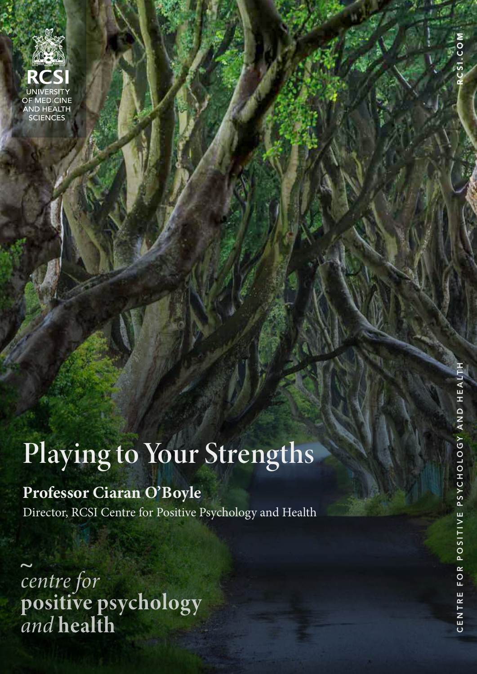

RCSI Centre for Positive Psychology and Health

# **Professor Ciaran O'Boyle**

Director, RCSI Centre for Positive Psychology and Health

centre for<br>positive psychology<br>and health

**1**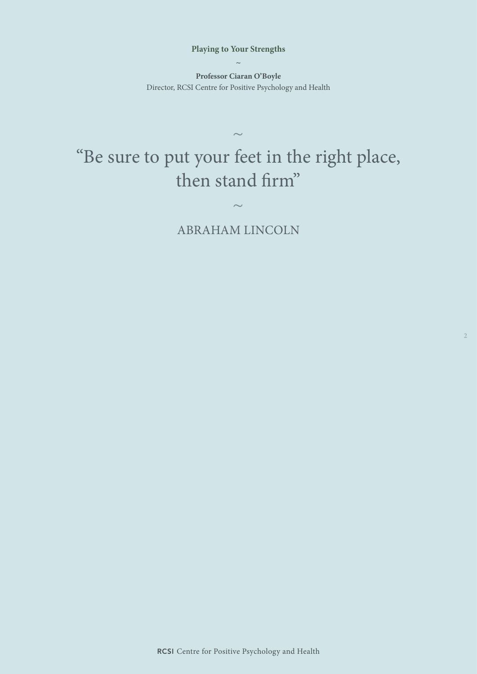**Professor Ciaran O'Boyle** Director, RCSI Centre for Positive Psychology and Health

# "Be sure to put your feet in the right place, then stand firm"

 $\sim$ 

ABRAHAM LINCOLN

 $\sim$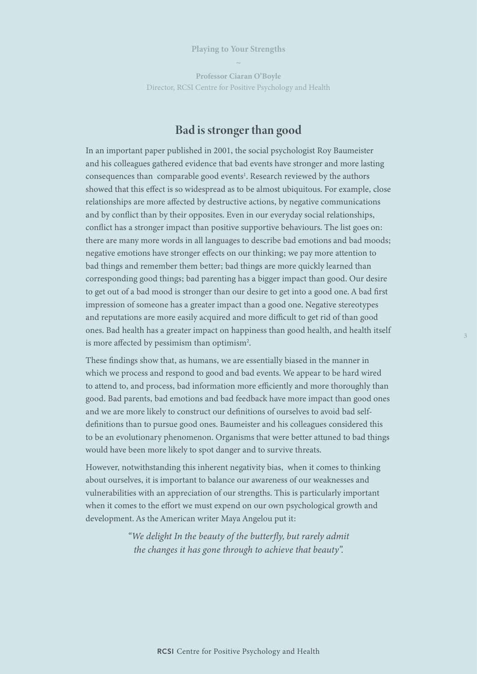**Professor Ciaran O'Boyle** Director, RCSI Centre for Positive Psychology and Health

# Bad is stronger than good

In an important paper published in 2001, the social psychologist Roy Baumeister and his colleagues gathered evidence that bad events have stronger and more lasting consequences than comparable good events<sup>1</sup>. Research reviewed by the authors showed that this effect is so widespread as to be almost ubiquitous. For example, close relationships are more affected by destructive actions, by negative communications and by conflict than by their opposites. Even in our everyday social relationships, conflict has a stronger impact than positive supportive behaviours. The list goes on: there are many more words in all languages to describe bad emotions and bad moods; negative emotions have stronger effects on our thinking; we pay more attention to bad things and remember them better; bad things are more quickly learned than corresponding good things; bad parenting has a bigger impact than good. Our desire to get out of a bad mood is stronger than our desire to get into a good one. A bad first impression of someone has a greater impact than a good one. Negative stereotypes and reputations are more easily acquired and more difficult to get rid of than good ones. Bad health has a greater impact on happiness than good health, and health itself is more affected by pessimism than optimism<sup>2</sup>.

These findings show that, as humans, we are essentially biased in the manner in which we process and respond to good and bad events. We appear to be hard wired to attend to, and process, bad information more efficiently and more thoroughly than good. Bad parents, bad emotions and bad feedback have more impact than good ones and we are more likely to construct our definitions of ourselves to avoid bad selfdefinitions than to pursue good ones. Baumeister and his colleagues considered this to be an evolutionary phenomenon. Organisms that were better attuned to bad things would have been more likely to spot danger and to survive threats.

However, notwithstanding this inherent negativity bias, when it comes to thinking about ourselves, it is important to balance our awareness of our weaknesses and vulnerabilities with an appreciation of our strengths. This is particularly important when it comes to the effort we must expend on our own psychological growth and development. As the American writer Maya Angelou put it:

> *"We delight In the beauty of the butterfly, but rarely admit the changes it has gone through to achieve that beauty".*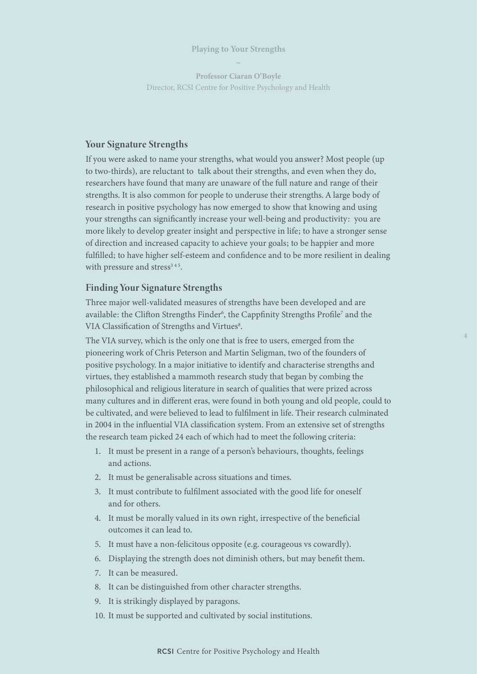**Professor Ciaran O'Boyle** Director, RCSI Centre for Positive Psychology and Health

#### Your Signature Strengths

If you were asked to name your strengths, what would you answer? Most people (up to two-thirds), are reluctant to talk about their strengths, and even when they do, researchers have found that many are unaware of the full nature and range of their strengths. It is also common for people to underuse their strengths. A large body of research in positive psychology has now emerged to show that knowing and using your strengths can significantly increase your well-being and productivity: you are more likely to develop greater insight and perspective in life; to have a stronger sense of direction and increased capacity to achieve your goals; to be happier and more fulfilled; to have higher self-esteem and confidence and to be more resilient in dealing with pressure and stress<sup>345</sup>.

#### Finding Your Signature Strengths

Three major well-validated measures of strengths have been developed and are available: the Clifton Strengths Finder<sup>6</sup>, the Cappfinity Strengths Profile<sup>7</sup> and the VIA Classification of Strengths and Virtues8.

The VIA survey, which is the only one that is free to users, emerged from the pioneering work of Chris Peterson and Martin Seligman, two of the founders of positive psychology. In a major initiative to identify and characterise strengths and virtues, they established a mammoth research study that began by combing the philosophical and religious literature in search of qualities that were prized across many cultures and in different eras, were found in both young and old people, could to be cultivated, and were believed to lead to fulfilment in life. Their research culminated in 2004 in the influential VIA classification system. From an extensive set of strengths the research team picked 24 each of which had to meet the following criteria:

- 1. It must be present in a range of a person's behaviours, thoughts, feelings and actions.
- 2. It must be generalisable across situations and times.
- 3. It must contribute to fulfilment associated with the good life for oneself and for others.
- 4. It must be morally valued in its own right, irrespective of the beneficial outcomes it can lead to.
- 5. It must have a non-felicitous opposite (e.g. courageous vs cowardly).
- 6. Displaying the strength does not diminish others, but may benefit them.
- 7. It can be measured.
- 8. It can be distinguished from other character strengths.
- 9. It is strikingly displayed by paragons.
- 10. It must be supported and cultivated by social institutions.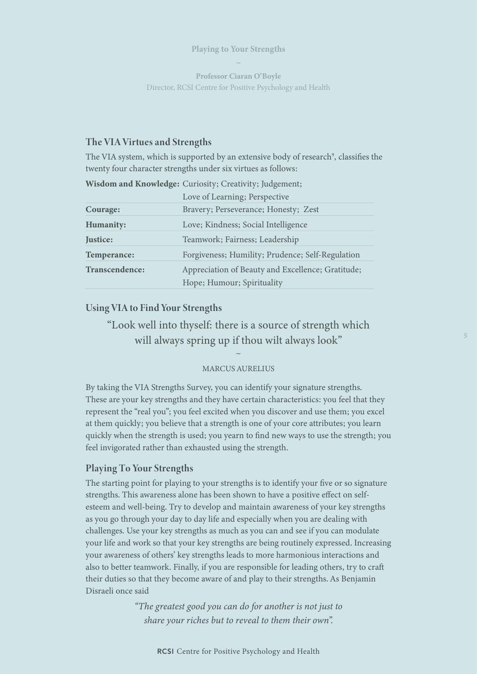**Professor Ciaran O'Boyle** Director, RCSI Centre for Positive Psychology and Health

#### The VIA Virtues and Strengths

The VIA system, which is supported by an extensive body of research<sup>9</sup>, classifies the twenty four character strengths under six virtues as follows:

|                | Love of Learning; Perspective                     |
|----------------|---------------------------------------------------|
| Courage:       | Bravery; Perseverance; Honesty; Zest              |
| Humanity:      | Love; Kindness; Social Intelligence               |
| Justice:       | Teamwork; Fairness; Leadership                    |
| Temperance:    | Forgiveness; Humility; Prudence; Self-Regulation  |
| Transcendence: | Appreciation of Beauty and Excellence; Gratitude; |
|                | Hope; Humour; Spirituality                        |

Wisdom and Knowledge: Curiosity; Creativity; Judgement;

#### Using VIA to Find Your Strengths

"Look well into thyself: there is a source of strength which will always spring up if thou wilt always look"

# $\ddot{\phantom{0}}$ MARCUS AURELIUS

By taking the VIA Strengths Survey, you can identify your signature strengths. These are your key strengths and they have certain characteristics: you feel that they represent the "real you"; you feel excited when you discover and use them; you excel at them quickly; you believe that a strength is one of your core attributes; you learn quickly when the strength is used; you yearn to find new ways to use the strength; you feel invigorated rather than exhausted using the strength.

#### Playing To Your Strengths

The starting point for playing to your strengths is to identify your five or so signature strengths. This awareness alone has been shown to have a positive effect on selfesteem and well-being. Try to develop and maintain awareness of your key strengths as you go through your day to day life and especially when you are dealing with challenges. Use your key strengths as much as you can and see if you can modulate your life and work so that your key strengths are being routinely expressed. Increasing your awareness of others' key strengths leads to more harmonious interactions and also to better teamwork. Finally, if you are responsible for leading others, try to craft their duties so that they become aware of and play to their strengths. As Benjamin Disraeli once said

> *"The greatest good you can do for another is not just to share your riches but to reveal to them their own".*